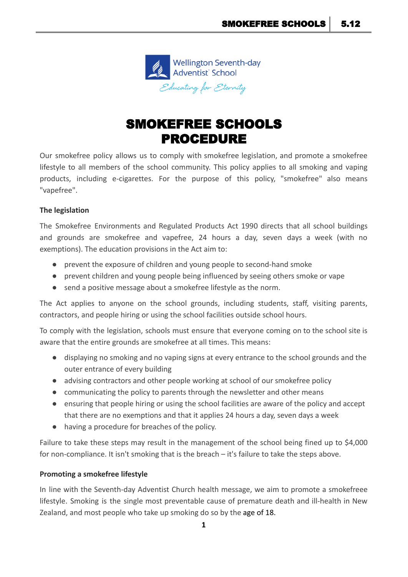

# SMOKEFREE SCHOOLS PROCEDURE

Our smokefree policy allows us to comply with smokefree legislation, and promote a smokefree lifestyle to all members of the school community. This policy applies to all smoking and vaping products, including e-cigarettes. For the purpose of this policy, "smokefree" also means "vapefree".

## **The legislation**

The Smokefree Environments and Regulated Products Act 1990 directs that all school buildings and grounds are smokefree and vapefree, 24 hours a day, seven days a week (with no exemptions). The education provisions in the Act aim to:

- prevent the exposure of children and young people to second-hand smoke
- prevent children and young people being influenced by seeing others smoke or vape
- send a positive message about a smokefree lifestyle as the norm.

The Act applies to anyone on the school grounds, including students, staff, visiting parents, contractors, and people hiring or using the school facilities outside school hours.

To comply with the legislation, schools must ensure that everyone coming on to the school site is aware that the entire grounds are smokefree at all times. This means:

- displaying no smoking and no vaping signs at every entrance to the school grounds and the outer entrance of every building
- advising contractors and other people working at school of our smokefree policy
- communicating the policy to parents through the newsletter and other means
- ensuring that people hiring or using the school facilities are aware of the policy and accept that there are no exemptions and that it applies 24 hours a day, seven days a week
- having a procedure for breaches of the policy.

Failure to take these steps may result in the management of the school being fined up to \$4,000 for non-compliance. It isn't smoking that is the breach – it's failure to take the steps above.

#### **Promoting a smokefree lifestyle**

In line with the Seventh-day Adventist Church health message, we aim to promote a smokefreee lifestyle. Smoking is the single most preventable cause of premature death and ill-health in New Zealand, and most people who take up smoking do so by the age of 18.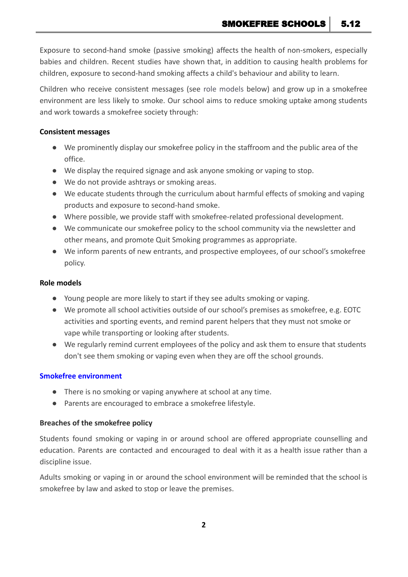SMOKEFREE SCHOOLS | 5.12

Exposure to second-hand smoke (passive smoking) affects the health of non-smokers, especially babies and children. Recent studies have shown that, in addition to causing health problems for children, exposure to second-hand smoking affects a child's behaviour and ability to learn.

Children who receive consistent messages (see role models below) and grow up in a smokefree environment are less likely to smoke. Our school aims to reduce smoking uptake among students and work towards a smokefree society through:

#### **Consistent messages**

- We prominently display our smokefree policy in the staffroom and the public area of the office.
- We display the required signage and ask anyone smoking or vaping to stop.
- We do not provide ashtrays or smoking areas.
- We educate students through the curriculum about harmful effects of smoking and vaping products and exposure to second-hand smoke.
- Where possible, we provide staff with smokefree-related professional development.
- We communicate our smokefree policy to the school community via the newsletter and other means, and promote Quit Smoking programmes as appropriate.
- We inform parents of new entrants, and prospective employees, of our school's smokefree policy.

#### **Role models**

- Young people are more likely to start if they see adults smoking or vaping.
- We promote all school activities outside of our school's premises as smokefree, e.g. EOTC activities and sporting events, and remind parent helpers that they must not smoke or vape while transporting or looking after students.
- We regularly remind current employees of the policy and ask them to ensure that students don't see them smoking or vaping even when they are off the school grounds.

#### **Smokefree environment**

- There is no smoking or vaping anywhere at school at any time.
- Parents are encouraged to embrace a smokefree lifestyle.

#### **Breaches of the smokefree policy**

Students found smoking or vaping in or around school are offered appropriate counselling and education. Parents are contacted and encouraged to deal with it as a health issue rather than a discipline issue.

Adults smoking or vaping in or around the school environment will be reminded that the school is smokefree by law and asked to stop or leave the premises.